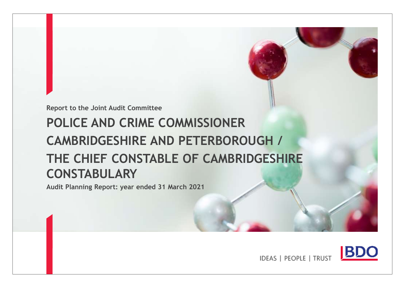**Report to the Joint Audit Committee**

# **POLICE AND CRIME COMMISSIONER CAMBRIDGESHIRE AND PETERBOROUGH / THE CHIEF CONSTABLE OF CAMBRIDGESHIRE CONSTABULARY**

**Audit Planning Report: year ended 31 March 2021**



**IDEAS | PEOPLE | TRUST**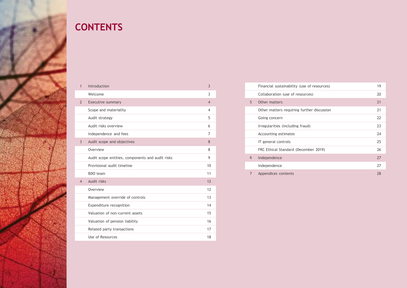<span id="page-1-0"></span>

## **CONTENTS**

| $\mathbf{1}$   | Introduction                                     | $\overline{3}$ |
|----------------|--------------------------------------------------|----------------|
|                | Welcome                                          | 3              |
| $\overline{2}$ | <b>Executive summary</b>                         | $\overline{4}$ |
|                | Scope and materiality                            | 4              |
|                | Audit strategy                                   | 5              |
|                | Audit risks overview                             | 6              |
|                | Independence and fees                            | 7              |
| $\overline{3}$ | Audit scope and objectives                       | 8              |
|                | Overview                                         | 8              |
|                | Audit scope entities, components and audit risks | 9              |
|                | Provisional audit timeline                       | 10             |
|                | BDO team                                         | 11             |
| $\overline{4}$ | Audit risks                                      | 12             |
|                | Overview                                         | 12             |
|                | Management override of controls                  | 13             |
|                | Expenditure recognition                          | 14             |
|                | Valuation of non-current assets                  | 15             |
|                | Valuation of pension liability                   | 16             |
|                | Related party transactions                       | 17             |
|                | Use of Resources                                 | 18             |
|                |                                                  |                |

|   | Financial sustainability (use of resources) | 19 |
|---|---------------------------------------------|----|
|   | Collaboration (use of resources)            | 20 |
| 5 | Other matters                               | 21 |
|   | Other matters requiring further discussion  | 21 |
|   | Going concern                               | 22 |
|   | Irregularities (including fraud)            | 23 |
|   |                                             |    |
|   | Accounting estimates                        | 74 |
|   | IT general controls                         | 25 |
|   | FRC Ethical Standard (December 2019)        | 26 |
| 6 | Independence                                | 27 |
|   | Independence                                | 27 |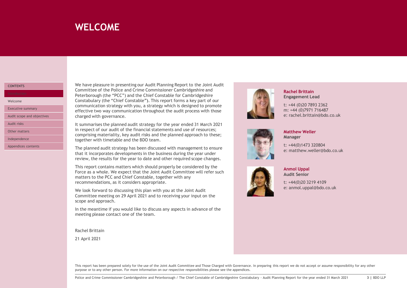### <span id="page-2-0"></span>**WELCOME**

#### **[CONTENTS](#page-1-0)**

[Welcome](#page-2-0)

[Executive summary](#page-3-0)

[Audit scope and objectives](#page-7-0)

[Audit risks](#page-11-0)

[Other matters](#page-20-0)

[Independence](#page-26-0)

[Appendices contents](#page-27-0)

We have pleasure in presenting our Audit Planning Report to the Joint Audit Committee of the Police and Crime Commissioner Cambridgeshire and Peterborough (the "PCC") and the Chief Constable for Cambridgeshire Constabulary (the "Chief Constable"). This report forms a key part of our communication strategy with you, a strategy which is designed to promote effective two way communication throughout the audit process with those charged with governance.

It summarises the planned audit strategy for the year ended 31 March 2021 in respect of our audit of the financial statements and use of resources; comprising materiality, key audit risks and the planned approach to these; together with timetable and the BDO team.

The planned audit strategy has been discussed with management to ensure that it incorporates developments in the business during the year under review, the results for the year to date and other required scope changes.

This report contains matters which should properly be considered by the Force as a whole. We expect that the Joint Audit Committee will refer such matters to the PCC and Chief Constable, together with any recommendations, as it considers appropriate.

We look forward to discussing this plan with you at the Joint Audit Committee meeting on 29 April 2021 and to receiving your input on the scope and approach.

In the meantime if you would like to discuss any aspects in advance of the meeting please contact one of the team.

Rachel Brittain

21 April 2021



#### **Rachel Brittain Engagement Lead**

t: +44 (0)20 7893 2362 m: +44 (0)7971 716487 e: rachel.brittain@bdo.co.uk



#### **Matthew Weller Manager**

t: +44(0)1473 320804 e: matthew.weller@bdo.co.uk



#### **Anmol Uppal Audit Senior**

t: +44(0)20 3219 4109 e: anmol.uppal@bdo.co.uk

This report has been prepared solely for the use of the Joint Audit Committee and Those Charged with Governance. In preparing this report we do not accept or assume responsibility for any other purpose or to any other person. For more information on our respective responsibilities please see the appendices.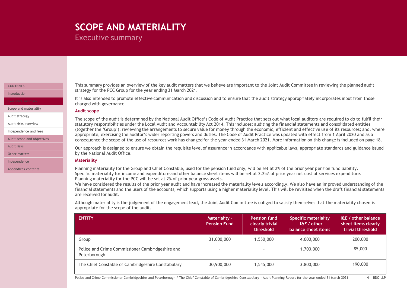# <span id="page-3-0"></span>**SCOPE AND MATERIALITY**

Executive summary

#### **[CONTENTS](#page-1-0)**

[Introduction](#page-2-0)

[Scope and materiality](#page-3-0)

[Audit strategy](#page-4-0)

[Audit risks overview](#page-5-0)

[Independence and fees](#page-6-0)

[Audit scope and objectives](#page-7-0)

[Audit risks](#page-11-0)

[Other matters](#page-20-0)

[Independence](#page-26-0)

[Appendices contents](#page-27-0)

This summary provides an overview of the key audit matters that we believe are important to the Joint Audit Committee in reviewing the planned audit strategy for the PCC Group for the year ending 31 March 2021.

It is also intended to promote effective communication and discussion and to ensure that the audit strategy appropriately incorporates input from those charged with governance.

#### **Audit scope**

The scope of the audit is determined by the National Audit Office's Code of Audit Practice that sets out what local auditors are required to do to fulfil their statutory responsibilities under the Local Audit and Accountability Act 2014. This includes: auditing the financial statements and consolidated entities (together the 'Group'); reviewing the arrangements to secure value for money through the economic, efficient and effective use of its resources; and, where appropriate, exercising the auditor's wider reporting powers and duties. The Code of Audit Practice was updated with effect from 1 April 2020 and as a consequence the scope of the use of resources work has changed for the year ended 31 March 2021. More information on this change is included on page 18.

Our approach is designed to ensure we obtain the requisite level of assurance in accordance with applicable laws, appropriate standards and guidance issued by the National Audit Office.

#### **Materiality**

Planning materiality for the Group and Chief Constable, used for the pension fund only, will be set at 2% of the prior year pension fund liability. Specific materiality for income and expenditure and other balance sheet items will be set at 2.25% of prior year net cost of services expenditure. Planning materiality for the PCC will be set at 2% of prior year gross assets.

We have considered the results of the prior year audit and have increased the materiality levels accordingly. We also have an improved understanding of the financial statements and the users of the accounts, which supports using a higher materiality level. This will be revisited when the draft financial statements are received for audit.

Although materiality is the judgement of the engagement lead, the Joint Audit Committee is obliged to satisfy themselves that the materiality chosen is appropriate for the scope of the audit.

| <b>ENTITY</b>                                                    | <b>Materiality -</b><br><b>Pension Fund</b> | <b>Pension fund</b><br>clearly trivial<br>threshold | <b>Specific materiality</b><br>$ 18E /$ other<br>balance sheet items | <b>I&amp;E</b> / other balance<br>sheet items clearly<br>trivial threshold |
|------------------------------------------------------------------|---------------------------------------------|-----------------------------------------------------|----------------------------------------------------------------------|----------------------------------------------------------------------------|
| Group                                                            | 31,000,000                                  | 1.550.000                                           | 4,000,000                                                            | 200,000                                                                    |
| Police and Crime Commissioner Cambridgeshire and<br>Peterborough | $\overline{\phantom{a}}$                    | $\overline{\phantom{0}}$                            | 1,700,000                                                            | 85,000                                                                     |
| The Chief Constable of Cambridgeshire Constabulary               | 30,900,000                                  | 1,545,000                                           | 3,800,000                                                            | 190,000                                                                    |

Police and Crime Commissioner Cambridgeshire and Peterborough / The Chief Constable of Cambridgeshire Constabulary - Audit Planning Report for the year ended 31 March 2021 **4 |** BDO LLP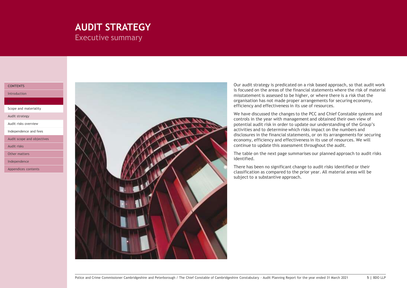### <span id="page-4-0"></span>**AUDIT STRATEGY** Executive summary

#### **[CONTENTS](#page-1-0)**

[Introduction](#page-2-0)

[Scope and materiality](#page-3-0)

[Audit strategy](#page-4-0)

[Audit risks overview](#page-5-0)

[Independence and fees](#page-6-0)

[Audit scope and objectives](#page-7-0)

[Audit risks](#page-11-0)

[Other matters](#page-20-0)

[Independence](#page-26-0)

[Appendices contents](#page-27-0)



Our audit strategy is predicated on a risk based approach, so that audit work is focused on the areas of the financial statements where the risk of material misstatement is assessed to be higher, or where there is a risk that the organisation has not made proper arrangements for securing economy, efficiency and effectiveness in its use of resources.

We have discussed the changes to the PCC and Chief Constable systems and controls in the year with management and obtained their own view of potential audit risk in order to update our understanding of the Group's activities and to determine which risks impact on the numbers and disclosures in the financial statements, or on its arrangements for securing economy, efficiency and effectiveness in its use of resources. We will continue to update this assessment throughout the audit.

The table on the next page summarises our planned approach to audit risks identified.

There has been no significant change to audit risks identified or their classification as compared to the prior year. All material areas will be subject to a substantive approach.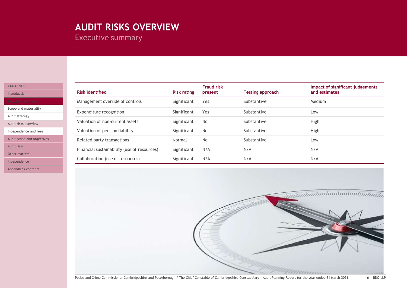# <span id="page-5-0"></span>**AUDIT RISKS OVERVIEW**

Executive summary

| <b>CONTENTS</b> |  |  |  |  |
|-----------------|--|--|--|--|
|                 |  |  |  |  |

[Introduction](#page-2-0)

[Scope and materiality](#page-3-0)

[Audit strategy](#page-4-0)

[Audit risks overview](#page-5-0)

[Independence and fees](#page-6-0)

[Audit scope and objectives](#page-7-0)

[Audit risks](#page-11-0)

[Other matters](#page-20-0)

[Independence](#page-26-0)

[Appendices contents](#page-27-0)

| <b>Risk identified</b>                      | <b>Risk rating</b> | <b>Fraud risk</b><br>present | <b>Testing approach</b> | Impact of significant judgements<br>and estimates |
|---------------------------------------------|--------------------|------------------------------|-------------------------|---------------------------------------------------|
| Management override of controls             | Significant        | Yes                          | Substantive             | Medium                                            |
| Expenditure recognition                     | Significant        | Yes                          | Substantive             | Low                                               |
| Valuation of non-current assets             | Significant        | <b>No</b>                    | Substantive             | High                                              |
| Valuation of pension liability              | Significant        | <b>No</b>                    | Substantive             | High                                              |
| Related party transactions                  | Normal             | <b>No</b>                    | Substantive             | Low                                               |
| Financial sustainability (use of resources) | Significant        | N/A                          | N/A                     | N/A                                               |
| Collaboration (use of resources)            | Significant        | N/A                          | N/A                     | N/A                                               |

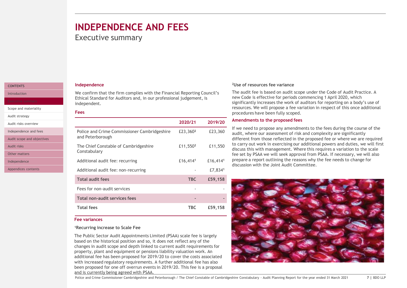### <span id="page-6-0"></span>**INDEPENDENCE AND FEES**

### Executive summary

#### **[CONTENTS](#page-1-0)**

[Introduction](#page-2-0)

[Scope and materiality](#page-3-0)

[Audit strategy](#page-4-0)

[Audit risks overview](#page-5-0)

[Independence and fees](#page-6-0)

[Audit scope and objectives](#page-7-0)

[Audit risks](#page-11-0)

[Other matters](#page-20-0)

[Independence](#page-26-0)

[Appendices contents](#page-27-0)

#### **Independence**

We confirm that the firm complies with the Financial Reporting Council's Ethical Standard for Auditors and, in our professional judgement, is independent.

#### **Fees**

|                                                                  | 2020/21              | 2019/20              |
|------------------------------------------------------------------|----------------------|----------------------|
| Police and Crime Commissioner Cambridgeshire<br>and Peterborough | £23,360 <sup>2</sup> | £23,360              |
| The Chief Constable of Cambridgeshire<br>Constabulary            | £11,550 <sup>2</sup> | £11,550              |
| Additional audit fee: recurring                                  | £16,4141             | £16,414 <sup>1</sup> |
| Additional audit fee: non-recurring                              |                      | £7,8341              |
| <b>Total audit fees</b>                                          | <b>TBC</b>           | £59,158              |
| Fees for non-audit services                                      |                      |                      |
| Total non-audit services fees                                    |                      |                      |
| <b>Total fees</b>                                                | <b>TBC</b>           | £59,158              |

#### **Fee variances**

#### **<sup>1</sup>Recurring increase to Scale Fee**

The Public Sector Audit Appointments Limited (PSAA) scale fee is largely based on the historical position and so, it does not reflect any of the changes in audit scope and depth linked to current audit requirements for property, plant and equipment or pensions liability valuation work. An additional fee has been proposed for 2019/20 to cover the costs associated with increased regulatory requirements. A further additional fee has also been proposed for one off overrun events in 2019/20. This fee is a proposal and is currently being agreed with PSAA.

#### **<sup>2</sup>Use of resources fee variance**

The audit fee is based on audit scope under the Code of Audit Practice. A new Code is effective for periods commencing 1 April 2020, which significantly increases the work of auditors for reporting on a body's use of resources. We will propose a fee variation in respect of this once additional procedures have been fully scoped.

#### **Amendments to the proposed fees**

If we need to propose any amendments to the fees during the course of the audit, where our assessment of risk and complexity are significantly different from those reflected in the proposed fee or where we are required to carry out work in exercising our additional powers and duties, we will first discuss this with management. Where this requires a variation to the scale fee set by PSAA we will seek approval from PSAA. If necessary, we will also prepare a report outlining the reasons why the fee needs to change for discussion with the Joint Audit Committee.

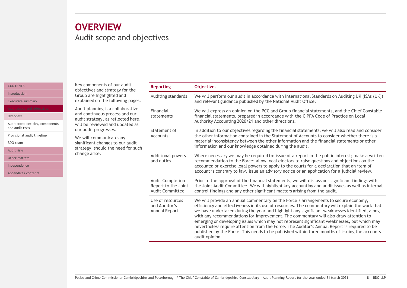### <span id="page-7-0"></span>Audit scope and objectives **OVERVIEW**

#### **[CONTENTS](#page-1-0)**

[Introduction](#page-2-0)

[Executive summary](#page-3-0)

#### [Overview](#page-7-0)

[Audit scope entities, components](#page-8-0)  and audit risks

[Provisional audit timeline](#page-9-0)

[BDO team](#page-10-0)

[Audit risks](#page-11-0)

[Other matters](#page-20-0)

[Independence](#page-26-0)

[Appendices contents](#page-27-0)

Key components of our audit objectives and strategy for the Group are highlighted and explained on the following pages.

Audit planning is a collaborative and continuous process and our audit strategy, as reflected here, will be reviewed and updated as our audit progresses.

We will communicate any significant changes to our audit strategy, should the need for such change arise.

| <b>Reporting</b>                                                         | <b>Objectives</b>                                                                                                                                                                                                                                                                                                                                                                                                                                                                                                                                                                                                                                                                                  |
|--------------------------------------------------------------------------|----------------------------------------------------------------------------------------------------------------------------------------------------------------------------------------------------------------------------------------------------------------------------------------------------------------------------------------------------------------------------------------------------------------------------------------------------------------------------------------------------------------------------------------------------------------------------------------------------------------------------------------------------------------------------------------------------|
| Auditing standards                                                       | We will perform our audit in accordance with International Standards on Auditing UK (ISAs (UK))<br>and relevant guidance published by the National Audit Office.                                                                                                                                                                                                                                                                                                                                                                                                                                                                                                                                   |
| Financial<br>statements                                                  | We will express an opinion on the PCC and Group financial statements, and the Chief Constable<br>financial statements, prepared in accordance with the CIPFA Code of Practice on Local<br>Authority Accounting 2020/21 and other directions.                                                                                                                                                                                                                                                                                                                                                                                                                                                       |
| Statement of<br>Accounts                                                 | In addition to our objectives regarding the financial statements, we will also read and consider<br>the other information contained in the Statement of Accounts to consider whether there is a<br>material inconsistency between the other information and the financial statements or other<br>information and our knowledge obtained during the audit.                                                                                                                                                                                                                                                                                                                                          |
| <b>Additional powers</b><br>and duties                                   | Where necessary we may be required to: issue of a report in the public interest; make a written<br>recommendation to the Force; allow local electors to raise questions and objections on the<br>accounts; or exercise legal powers to apply to the courts for a declaration that an item of<br>account is contrary to law, issue an advisory notice or an application for a judicial review.                                                                                                                                                                                                                                                                                                      |
| <b>Audit Completion</b><br>Report to the Joint<br><b>Audit Committee</b> | Prior to the approval of the financial statements, we will discuss our significant findings with<br>the Joint Audit Committee. We will highlight key accounting and audit issues as well as internal<br>control findings and any other significant matters arising from the audit.                                                                                                                                                                                                                                                                                                                                                                                                                 |
| Use of resources<br>and Auditor's<br>Annual Report                       | We will provide an annual commentary on the Force's arrangements to secure economy,<br>efficiency and effectiveness in its use of resources. The commentary will explain the work that<br>we have undertaken during the year and highlight any significant weaknesses identified, along<br>with any recommendations for improvement. The commentary will also draw attention to<br>emerging or developing issues which may not represent significant weaknesses, but which may<br>nevertheless require attention from the Force. The Auditor's Annual Report is required to be<br>published by the Force. This needs to be published within three months of issuing the accounts<br>audit opinion. |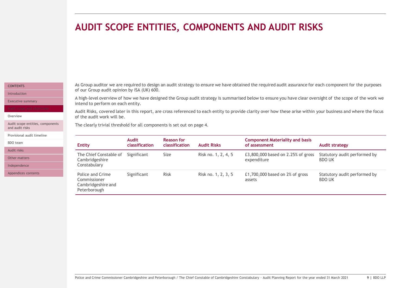### <span id="page-8-0"></span>**AUDIT SCOPE ENTITIES, COMPONENTS AND AUDIT RISKS**

#### **[CONTENTS](#page-1-0)** [Introduction](#page-2-0)

[Executive summary](#page-3-0)

**[Overview](#page-7-0)** 

[Audit scope entities, components](#page-8-0)  and audit risks

[Provisional audit timeline](#page-9-0)

[BDO team](#page-10-0)

[Audit risks](#page-11-0)

[Other matters](#page-20-0)

[Independence](#page-26-0)

[Appendices contents](#page-27-0)

As Group auditor we are required to design an audit strategy to ensure we have obtained the required audit assurance for each component for the purposes of our Group audit opinion by ISA (UK) 600.

A high-level overview of how we have designed the Group audit strategy is summarised below to ensure you have clear oversight of the scope of the work we intend to perform on each entity.

Audit Risks, covered later in this report, are cross referenced to each entity to provide clarity over how these arise within your business and where the focus of the audit work will be.

The clearly trivial threshold for all components is set out on page 4.

| <b>Entity</b>                                                          | <b>Audit</b><br>classification | <b>Reason for</b><br>classification | <b>Audit Risks</b>  | <b>Component Materiality and basis</b><br>of assessment | Audit strategy                                |
|------------------------------------------------------------------------|--------------------------------|-------------------------------------|---------------------|---------------------------------------------------------|-----------------------------------------------|
| The Chief Constable of<br>Cambridgeshire<br>Constabulary               | Significant                    | Size                                | Risk no. 1, 2, 4, 5 | £3,800,000 based on 2.25% of gross<br>expenditure       | Statutory audit performed by<br><b>BDO UK</b> |
| Police and Crime<br>Commissioner<br>Cambridgeshire and<br>Peterborough | Significant                    | <b>Risk</b>                         | Risk no. 1, 2, 3, 5 | £1,700,000 based on $2\%$ of gross<br>assets            | Statutory audit performed by<br><b>BDO UK</b> |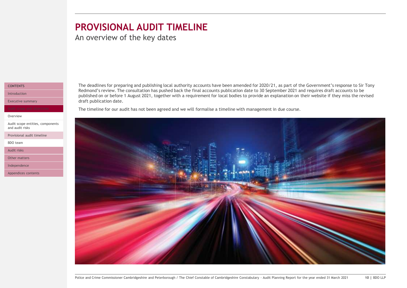### <span id="page-9-0"></span>**PROVISIONAL AUDIT TIMELINE**

An overview of the key dates

#### **[CONTENTS](#page-1-0)**

[Introduction](#page-2-0)

[Executive summary](#page-3-0)

[Overview](#page-7-0)

[Audit scope entities, components](#page-8-0)  and audit risks

[Provisional audit timeline](#page-9-0)

[BDO team](#page-10-0)

[Audit risks](#page-11-0)

[Other matters](#page-20-0)

[Independence](#page-26-0)

[Appendices contents](#page-27-0)

The deadlines for preparing and publishing local authority accounts have been amended for 2020/21, as part of the Government's response to Sir Tony Redmond's review. The consultation has pushed back the final accounts publication date to 30 September 2021 and requires draft accounts to be published on or before 1 August 2021, together with a requirement for local bodies to provide an explanation on their website if they miss the revised draft publication date.

The timeline for our audit has not been agreed and we will formalise a timeline with management in due course.

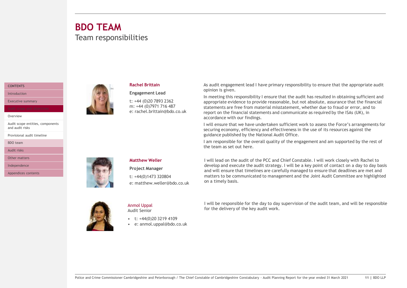### <span id="page-10-0"></span>Team responsibilities **BDO TEAM**

#### **[CONTENTS](#page-1-0)**

[Introduction](#page-2-0)

[Executive summary](#page-3-0)

#### [Overview](#page-7-0)

[Audit scope entities, components](#page-8-0)  and audit risks

[Provisional audit timeline](#page-9-0)

[BDO team](#page-10-0)

[Audit risks](#page-11-0)

[Other matters](#page-20-0)

[Independence](#page-26-0)

[Appendices contents](#page-27-0)



#### **Rachel Brittain**

**Engagement Lead** t: +44 (0)20 7893 2362 m: +44 (0)7971 716 487 e: rachel.brittain@bdo.co.uk As audit engagement lead I have primary responsibility to ensure that the appropriate audit opinion is given.

In meeting this responsibility I ensure that the audit has resulted in obtaining sufficient and appropriate evidence to provide reasonable, but not absolute, assurance that the financial statements are free from material misstatement, whether due to fraud or error, and to report on the financial statements and communicate as required by the ISAs (UK), in accordance with our findings.

I will ensure that we have undertaken sufficient work to assess the Force's arrangements for securing economy, efficiency and effectiveness in the use of its resources against the guidance published by the National Audit Office.

I am responsible for the overall quality of the engagement and am supported by the rest of the team as set out here.



#### **Matthew Weller**

**Project Manager**

t: +44(0)1473 320804 e: matthew.weller@bdo.co.uk I will lead on the audit of the PCC and Chief Constable. I will work closely with Rachel to develop and execute the audit strategy. I will be a key point of contact on a day to day basis and will ensure that timelines are carefully managed to ensure that deadlines are met and matters to be communicated to management and the Joint Audit Committee are highlighted on a timely basis.



Anmol Uppal Audit Senior

- $\cdot$  t:  $+44(0)2032194109$
- e: anmol.uppal@bdo.co.uk

I will be responsible for the day to day supervision of the audit team, and will be responsible for the delivery of the key audit work.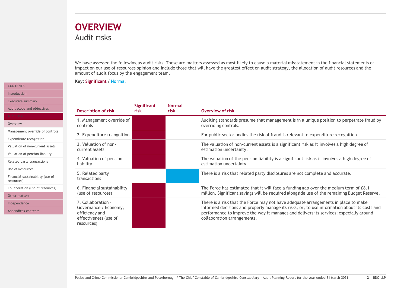### <span id="page-11-0"></span>Audit risks **OVERVIEW**

We have assessed the following as audit risks. These are matters assessed as most likely to cause a material misstatement in the financial statements or impact on our use of resources opinion and include those that will have the greatest effect on audit strategy, the allocation of audit resources and the amount of audit focus by the engagement team.

**Key: Significant / Normal**

|         | <b>Description of risk</b>                                                                           | <b>Significant</b><br>risk | <b>Normal</b><br>risk | Overview of risk                                                                                                                                                                                                                                                                                            |
|---------|------------------------------------------------------------------------------------------------------|----------------------------|-----------------------|-------------------------------------------------------------------------------------------------------------------------------------------------------------------------------------------------------------------------------------------------------------------------------------------------------------|
|         | 1. Management override of<br>controls                                                                |                            |                       | Auditing standards presume that management is in a unique position to perpetrate fraud by<br>overriding controls.                                                                                                                                                                                           |
| ontrols | 2. Expenditure recognition                                                                           |                            |                       | For public sector bodies the risk of fraud is relevant to expenditure recognition.                                                                                                                                                                                                                          |
| issets  | 3. Valuation of non-<br>current assets                                                               |                            |                       | The valuation of non-current assets is a significant risk as it involves a high degree of<br>estimation uncertainty.                                                                                                                                                                                        |
| ity     | 4. Valuation of pension<br>liability                                                                 |                            |                       | The valuation of the pension liability is a significant risk as it involves a high degree of<br>estimation uncertainty.                                                                                                                                                                                     |
| e of    | 5. Related party<br>transactions                                                                     |                            |                       | There is a risk that related party disclosures are not complete and accurate.                                                                                                                                                                                                                               |
| urces)  | 6. Financial sustainability<br>(use of resources)                                                    |                            |                       | The Force has estimated that it will face a funding gap over the medium term of £8.1<br>million. Significant savings will be required alongside use of the remaining Budget Reserve.                                                                                                                        |
|         | 7. Collaboration -<br>Governance / Economy,<br>efficiency and<br>effectiveness (use of<br>resources) |                            |                       | There is a risk that the Force may not have adequate arrangements in place to make<br>informed decisions and properly manage its risks, or, to use information about its costs and<br>performance to improve the way it manages and delivers its services; especially around<br>collaboration arrangements. |

#### Police and Crime Commissioner Cambridgeshire and Peterborough / The Chief Constable of Cambridgeshire Constabulary - Audit Planning Report for the year ended 31 March 2021 **12 |** BDO LLP

#### **[CONTENTS](#page-1-0)** [Introduction](#page-2-0)

[Executive summary](#page-3-0)

Audit scope and objective

[Overview](#page-11-0)

Management override of co

[Expenditure recognition](#page-13-0)

Valuation of non-current as

[Valuation of pension liability](#page-15-0)

[Related party transactions](#page-16-0)

[Use of Resources](#page-17-0)

Financial sustainability (use resources)

Collaboration (use of resour

[Other matters](#page-20-0)

[Independence](#page-26-0)

[Appendices contents](#page-27-0)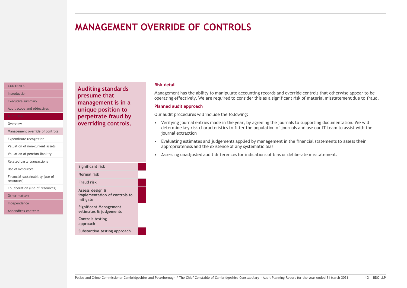### <span id="page-12-0"></span>**MANAGEMENT OVERRIDE OF CONTROLS**

#### **[CONTENTS](#page-1-0)** [Introduction](#page-2-0)

[Executive summary](#page-3-0)

[Audit scope and objectives](#page-7-0)

#### **[Overview](#page-11-0)**

[Management override of controls](#page-12-0)

[Expenditure recognition](#page-13-0)

[Valuation of non-current assets](#page-14-0)

[Valuation of pension liability](#page-15-0)

[Related party transactions](#page-16-0)

[Use of Resources](#page-17-0)

[Financial sustainability \(use of](#page-18-0) resources)

[Collaboration \(use of resources\)](#page-19-0)

[Other matters](#page-20-0)

[Independence](#page-26-0)

[Appendices contents](#page-27-0)

**Auditing standards presume that management is in a unique position to perpetrate fraud by overriding controls.**

**implementation of controls to** 

**Substantive testing approach**

**Significant Management estimates & judgements**

**Controls testing approach**

**Significant risk Normal risk Fraud risk Assess design &** 

**mitigate**

#### **Risk detail**

Management has the ability to manipulate accounting records and override controls that otherwise appear to be operating effectively. We are required to consider this as a significant risk of material misstatement due to fraud.

#### **Planned audit approach**

Our audit procedures will include the following:

- Verifying journal entries made in the year, by agreeing the journals to supporting documentation. We will determine key risk characteristics to filter the population of journals and use our IT team to assist with the journal extraction
- Evaluating estimates and judgements applied by management in the financial statements to assess their appropriateness and the existence of any systematic bias
- Assessing unadjusted audit differences for indications of bias or deliberate misstatement.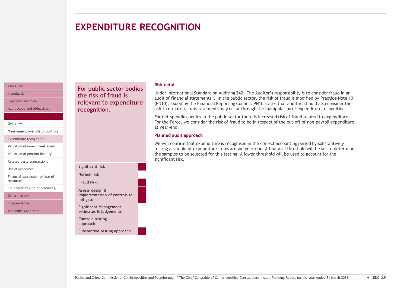### <span id="page-13-0"></span>**EXPENDITURE RECOGNITION**

#### **[CONTENTS](#page-1-0)** [Introduction](#page-2-0)

[Executive summary](#page-3-0)

[Audit scope and objectives](#page-7-0)

#### **[Overview](#page-11-0)**

[Management override of controls](#page-12-0)

[Expenditure recognition](#page-13-0)

[Valuation of non-current assets](#page-14-0)

[Valuation of pension liability](#page-15-0)

[Related party transactions](#page-16-0)

[Use of Resources](#page-17-0)

[Financial sustainability \(use of](#page-18-0) resources)

[Collaboration \(use of resources\)](#page-19-0)

[Other matters](#page-20-0)

[Independence](#page-26-0)

[Appendices contents](#page-27-0)

**For public sector bodies the risk of fraud is relevant to expenditure recognition.**

#### **Risk detail**

Under International Standard on Auditing 240 "The Auditor's responsibility is to consider fraud in an audit of financial statements". In the public sector, the risk of fraud is modified by Practice Note 10 (PN10), issued by the Financial Reporting Council. PN10 states that auditors should also consider the risk that material misstatements may occur through the manipulation of expenditure recognition.

For net-spending bodies in the public sector there is increased risk of fraud related to expenditure. For the Force, we consider the risk of fraud to be in respect of the cut-off of non-payroll expenditure at year-end.

#### **Planned audit approach**

We will confirm that expenditure is recognised in the correct accounting period by substantively testing a sample of expenditure items around year-end. A financial threshold will be set to determine the samples to be selected for this testing. A lower threshold will be used to account for the significant risk.

#### **Significant risk Normal risk Fraud risk Assess design & implementation of controls to mitigate Significant Management estimates & judgements Controls testing approach Substantive testing approach**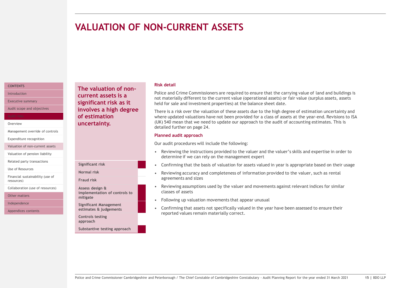### <span id="page-14-0"></span>**VALUATION OF NON-CURRENT ASSETS**

#### **[CONTENTS](#page-1-0)** [Introduction](#page-2-0)

[Executive summary](#page-3-0)

[Audit scope and objectives](#page-7-0)

#### **[Overview](#page-11-0)**

[Management override of controls](#page-12-0)

[Expenditure recognition](#page-13-0)

[Valuation of non-current assets](#page-14-0)

[Valuation of pension liability](#page-15-0)

[Related party transactions](#page-16-0)

[Use of Resources](#page-17-0)

[Financial sustainability \(use of](#page-18-0) resources)

[Collaboration \(use of resources\)](#page-19-0)

[Other matters](#page-20-0)

[Independence](#page-26-0)

[Appendices contents](#page-27-0)

**The valuation of noncurrent assets is a significant risk as it involves a high degree of estimation uncertainty.**

#### **Risk detail**

Police and Crime Commissioners are required to ensure that the carrying value of land and buildings is not materially different to the current value (operational assets) or fair value (surplus assets, assets held for sale and investment properties) at the balance sheet date.

There is a risk over the valuation of these assets due to the high degree of estimation uncertainty and where updated valuations have not been provided for a class of assets at the year-end. Revisions to ISA (UK) 540 mean that we need to update our approach to the audit of accounting estimates. This is detailed further on page 24.

#### **Planned audit approach**

Our audit procedures will include the following:

- Reviewing the instructions provided to the valuer and the valuer's skills and expertise in order to determine if we can rely on the management expert
- Confirming that the basis of valuation for assets valued in year is appropriate based on their usage
- Reviewing accuracy and completeness of information provided to the valuer, such as rental agreements and sizes
- Reviewing assumptions used by the valuer and movements against relevant indices for similar classes of assets
- Following up valuation movements that appear unusual
- Confirming that assets not specifically valued in the year have been assessed to ensure their reported values remain materially correct.

**Normal risk Fraud risk Assess design & implementation of controls to mitigate Significant Management estimates & judgements Controls testing approach**

**Significant risk**

**Substantive testing approach**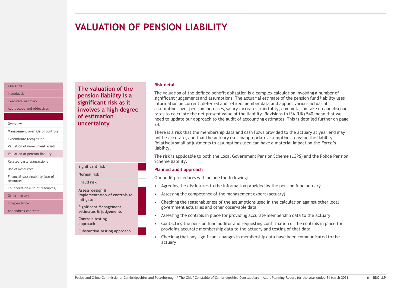### <span id="page-15-0"></span>**VALUATION OF PENSION LIABILITY**

#### **[CONTENTS](#page-1-0)** [Introduction](#page-2-0)

[Executive summary](#page-3-0)

[Audit scope and objectives](#page-7-0)

#### **[Overview](#page-11-0)**

[Management override of controls](#page-12-0)

[Expenditure recognition](#page-13-0)

[Valuation of non-current assets](#page-14-0)

[Valuation of pension liability](#page-15-0)

[Related party transactions](#page-16-0)

[Use of Resources](#page-17-0)

[Financial sustainability \(use of](#page-18-0) resources)

[Collaboration \(use of resources\)](#page-19-0)

[Other matters](#page-20-0)

[Independence](#page-26-0)

[Appendices contents](#page-27-0)

**The valuation of the pension liability is a significant risk as it involves a high degree of estimation uncertainty**

#### **Significant risk Normal risk Fraud risk Assess design & implementation of controls to mitigate Significant Management estimates & judgements Controls testing approach**

**Substantive testing approach**

#### **Risk detail**

The valuation of the defined benefit obligation is a complex calculation involving a number of significant judgements and assumptions. The actuarial estimate of the pension fund liability uses information on current, deferred and retired member data and applies various actuarial assumptions over pension increases, salary increases, mortality, commutation take up and discount rates to calculate the net present value of the liability. Revisions to ISA (UK) 540 mean that we need to update our approach to the audit of accounting estimates. This is detailed further on page 24.

There is a risk that the membership data and cash flows provided to the actuary at year end may not be accurate, and that the actuary uses inappropriate assumptions to value the liability. Relatively small adjustments to assumptions used can have a material impact on the Force's liability.

The risk is applicable to both the Local Government Pension Scheme (LGPS) and the Police Pension Scheme liability.

#### **Planned audit approach**

Our audit procedures will include the following:

- Agreeing the disclosures to the information provided by the pension fund actuary
- Assessing the competence of the management expert (actuary)
- Checking the reasonableness of the assumptions used in the calculation against other local government actuaries and other observable data
- Assessing the controls in place for providing accurate membership data to the actuary
- Contacting the pension fund auditor and requesting confirmation of the controls in place for providing accurate membership data to the actuary and testing of that data
- Checking that any significant changes in membership data have been communicated to the actuary.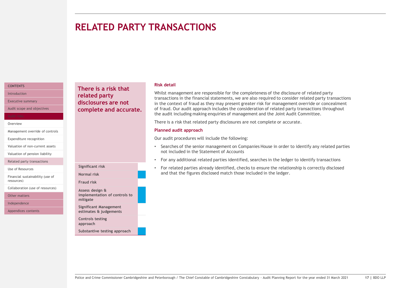### <span id="page-16-0"></span>**RELATED PARTY TRANSACTIONS**

#### **[CONTENTS](#page-1-0)** [Introduction](#page-2-0)

[Executive summary](#page-3-0)

[Audit scope and objectives](#page-7-0)

#### **[Overview](#page-11-0)**

[Management override of controls](#page-12-0)

[Expenditure recognition](#page-13-0)

[Valuation of non-current assets](#page-14-0) [Valuation of pension liability](#page-15-0)

[Related party transactions](#page-16-0)

[Use of Resources](#page-17-0)

[Financial sustainability \(use of](#page-18-0) resources)

[Collaboration \(use of resources\)](#page-19-0)

[Other matters](#page-20-0)

[Independence](#page-26-0)

[Appendices contents](#page-27-0)

**There is a risk that related party disclosures are not complete and accurate.**

**Significant risk Normal risk Fraud risk Assess design &** 

**mitigate**

**implementation of controls to** 

**Substantive testing approach**

**Significant Management estimates & judgements**

**Controls testing approach**

#### **Risk detail**

Whilst management are responsible for the completeness of the disclosure of related party transactions in the financial statements, we are also required to consider related party transactions in the context of fraud as they may present greater risk for management override or concealment of fraud. Our audit approach includes the consideration of related party transactions throughout the audit including making enquiries of management and the Joint Audit Committee.

There is a risk that related party disclosures are not complete or accurate.

#### **Planned audit approach**

Our audit procedures will include the following:

- Searches of the senior management on Companies House in order to identify any related parties not included in the Statement of Accounts
- For any additional related parties identified, searches in the ledger to identify transactions
- For related parties already identified, checks to ensure the relationship is correctly disclosed and that the figures disclosed match those included in the ledger.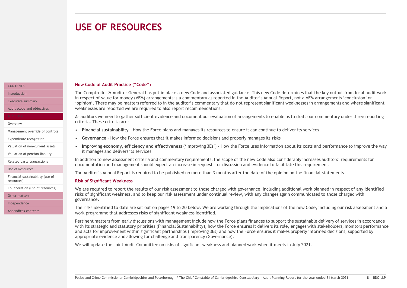### <span id="page-17-0"></span>**USE OF RESOURCES**

#### **New Code of Audit Practice ("Code")**

The Comptroller & Auditor General has put in place a new Code and associated guidance. This new Code determines that the key output from local audit work in respect of value for money (VFM) arrangements is a commentary as reported in the Auditor's Annual Report, not a VFM arrangements 'conclusion' or 'opinion'. There may be matters referred to in the auditor's commentary that do not represent significant weaknesses in arrangements and where significant weaknesses are reported we are required to also report recommendations.

As auditors we need to gather sufficient evidence and document our evaluation of arrangements to enable us to draft our commentary under three reporting criteria. These criteria are:

- **Financial sustainability**  How the Force plans and manages its resources to ensure it can continue to deliver its services
- **Governance**  How the Force ensures that it makes informed decisions and properly manages its risks
- **Improving economy, efficiency and effectiveness** ('Improving 3Es') How the Force uses information about its costs and performance to improve the way it manages and delivers its services.

In addition to new assessment criteria and commentary requirements, the scope of the new Code also considerably increases auditors' requirements for documentation and management should expect an increase in requests for discussion and evidence to facilitate this requirement.

The Auditor's Annual Report is required to be published no more than 3 months after the date of the opinion on the financial statements.

#### **Risk of Significant Weakness**

We are required to report the results of our risk assessment to those charged with governance, including additional work planned in respect of any identified risks of significant weakness, and to keep our risk assessment under continual review, with any changes again communicated to those charged with governance.

The risks identified to date are set out on pages 19 to 20 below. We are working through the implications of the new Code, including our risk assessment and a work programme that addresses risks of significant weakness identified.

Pertinent matters from early discussions with management include how the Force plans finances to support the sustainable delivery of services in accordance with its strategic and statutory priorities (Financial Sustainability), how the Force ensures it delivers its role, engages with stakeholders, monitors performance and acts for improvement within significant partnerships (Improving 3Es) and how the Force ensures it makes properly informed decisions, supported by appropriate evidence and allowing for challenge and transparency (Governance).

We will update the Joint Audit Committee on risks of significant weakness and planned work when it meets in July 2021.

#### **[CONTENTS](#page-1-0)**

[Introduction](#page-2-0)

[Executive summary](#page-3-0)

[Audit scope and objectives](#page-7-0)

#### **[Overview](#page-11-0)**

- [Management override of controls](#page-12-0)
- [Expenditure recognition](#page-13-0)
- [Valuation of non-current assets](#page-14-0)
- [Valuation of pension liability](#page-15-0)
- [Related party transactions](#page-16-0)

#### [Use of Resources](#page-17-0)

[Financial sustainability \(use of](#page-18-0) resources)

[Collaboration \(use of resources\)](#page-19-0)

[Other matters](#page-20-0)

[Independence](#page-26-0)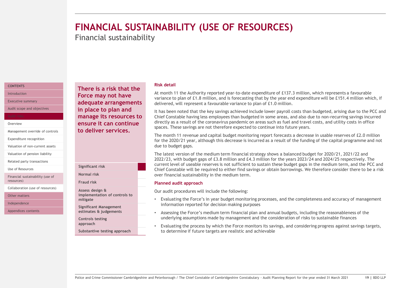# <span id="page-18-0"></span>**FINANCIAL SUSTAINABILITY (USE OF RESOURCES)**

Financial sustainability

#### **[CONTENTS](#page-1-0)**

[Introduction](#page-2-0)

[Executive summary](#page-3-0)

[Audit scope and objectives](#page-7-0)

#### **[Overview](#page-11-0)**

[Management override of controls](#page-12-0)

[Expenditure recognition](#page-13-0)

[Valuation of non-current assets](#page-14-0)

[Valuation of pension liability](#page-15-0)

[Related party transactions](#page-16-0)

[Use of Resources](#page-17-0)

[Financial sustainability \(use of](#page-18-0) resources)

[Collaboration \(use of resources\)](#page-19-0)

[Other matters](#page-20-0)

[Independence](#page-26-0)

[Appendices contents](#page-27-0)

**There is a risk that the Force may not have adequate arrangements in place to plan and manage its resources to ensure it can continue to deliver services.**

| Significant risk                                             |  |
|--------------------------------------------------------------|--|
| Normal risk                                                  |  |
| <b>Fraud risk</b>                                            |  |
| Assess design &<br>implementation of controls to<br>mitigate |  |
| Significant Management<br>estimates & judgements             |  |
| <b>Controls testing</b><br>approach                          |  |
| Substantive testing approach                                 |  |

#### **Risk detail**

At month 11 the Authority reported year-to-date expenditure of £137.3 million, which represents a favourable variance to plan of £1.8 million, and is forecasting that by the year end expenditure will be £151.4 million which, if delivered, will represent a favourable variance to plan of £1.0 million.

It has been noted that the key savings achieved include lower payroll costs than budgeted, arising due to the PCC and Chief Constable having less employees than budgeted in some areas, and also due to non-recurring savings incurred directly as a result of the coronavirus pandemic on areas such as fuel and travel costs, and utility costs in office spaces. These savings are not therefore expected to continue into future years.

The month 11 revenue and capital budget monitoring report forecasts a decrease in usable reserves of £2.0 million for the 2020/21 year, although this decrease is incurred as a result of the funding of the capital programme and not due to budget gaps.

The latest version of the medium term financial strategy shows a balanced budget for 2020/21, 2021/22 and 2022/23, with budget gaps of £3.8 million and £4.3 million for the years 2023/24 and 2024/25 respectively. The current level of useable reserves is not sufficient to sustain these budget gaps in the medium term, and the PCC and Chief Constable will be required to either find savings or obtain borrowings. We therefore consider there to be a risk over financial sustainability in the medium term.

#### **Planned audit approach**

Our audit procedures will include the following:

- Evaluating the Force's in year budget monitoring processes, and the completeness and accuracy of management information reported for decision making purposes
- Assessing the Force's medium term financial plan and annual budgets, including the reasonableness of the underlying assumptions made by management and the consideration of risks to sustainable finances
- to determine if future targets are realistic and achievable

• Evaluating the process by which the Force monitors its savings, and considering progress against savings targets,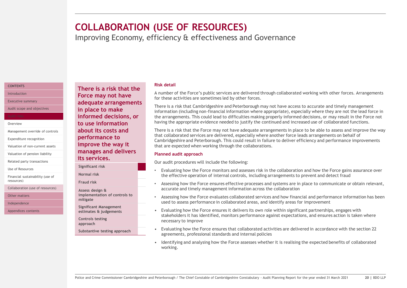### <span id="page-19-0"></span>**COLLABORATION (USE OF RESOURCES)**

Improving Economy, efficiency & effectiveness and Governance

#### **[CONTENTS](#page-1-0)**

[Introduction](#page-2-0)

[Executive summary](#page-3-0)

[Audit scope and objectives](#page-7-0)

#### **[Overview](#page-11-0)**

[Management override of controls](#page-12-0)

[Expenditure recognition](#page-13-0)

[Valuation of non-current assets](#page-14-0)

[Valuation of pension liability](#page-15-0)

[Related party transactions](#page-16-0)

[Use of Resources](#page-17-0)

[Financial sustainability \(use of](#page-18-0) resources)

[Collaboration \(use of resources\)](#page-19-0)

[Other matters](#page-20-0)

[Independence](#page-26-0)

[Appendices contents](#page-27-0)

#### **Risk detail**

A number of the Force's public services are delivered through collaborated working with other forces. Arrangements for these activities are sometimes led by other forces.

There is a risk that Cambridgeshire and Peterborough may not have access to accurate and timely management information (including non-financial information where appropriate), especially where they are not the lead force in the arrangements. This could lead to difficulties making properly informed decisions, or may result in the Force not having the appropriate evidence needed to justify the continued and increased use of collaborated functions.

There is a risk that the Force may not have adequate arrangements in place to be able to assess and improve the way that collaborated services are delivered, especially where another force leads arrangements on behalf of Cambridgeshire and Peterborough. This could result in failure to deliver efficiency and performance improvements that are expected when working through the collaborations.

#### **Planned audit approach**

Our audit procedures will include the following:

- Evaluating how the Force monitors and assesses risk in the collaboration and how the Force gains assurance over the effective operation of internal controls, including arrangements to prevent and detect fraud
- Assessing how the Force ensures effective processes and systems are in place to communicate or obtain relevant, accurate and timely management information across the collaboration
- Assessing how the Force evaluates collaborated services and how financial and performance information has been used to assess performance in collaborated areas, and identify areas for improvement
- Evaluating how the Force ensures it delivers its own role within significant partnerships, engages with stakeholders it has identified, monitors performance against expectations, and ensures action is taken where necessary to improve
- Evaluating how the Force ensures that collaborated activities are delivered in accordance with the section 22 agreements, professional standards and internal policies
- Identifying and analysing how the Force assesses whether it is realising the expected benefits of collaborated working.

**Force may not have adequate arrangements in place to make informed decisions, or to use information about its costs and performance to improve the way it manages and delivers its services.**

**There is a risk that the** 

**Significant risk**

**Normal risk**

**Fraud risk**

**Assess design & implementation of controls to mitigate**

**Significant Management estimates & judgements**

**Controls testing approach**

**Substantive testing approach**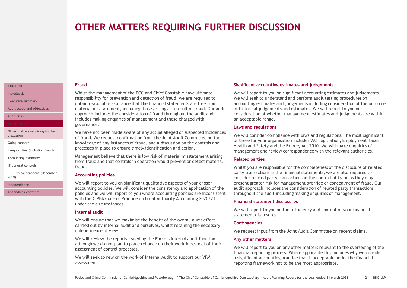### <span id="page-20-0"></span>**OTHER MATTERS REQUIRING FURTHER DISCUSSION**

#### **Fraud**

Whilst the management of the PCC and Chief Constable have ultimate responsibility for prevention and detection of fraud, we are required to obtain reasonable assurance that the financial statements are free from material misstatement, including those arising as a result of fraud. Our audit approach includes the consideration of fraud throughout the audit and includes making enquiries of management and those charged with governance.

We have not been made aware of any actual alleged or suspected incidences of fraud. We request confirmation from the Joint Audit Committee on their knowledge of any instances of fraud, and a discussion on the controls and processes in place to ensure timely identification and action.

Management believe that there is low risk of material misstatement arising from fraud and that controls in operation would prevent or detect material fraud.

#### **Accounting policies**

We will report to you on significant qualitative aspects of your chosen accounting policies. We will consider the consistency and application of the policies and we will report to you where accounting policies are inconsistent with the CIPFA Code of Practice on Local Authority Accounting 2020/21 under the circumstances.

#### **Internal audit**

We will ensure that we maximise the benefit of the overall audit effort carried out by internal audit and ourselves, whilst retaining the necessary independence of view.

We will review the reports issued by the Force's internal audit function although we do not plan to place reliance on their work in respect of their assessment of control processes.

We will seek to rely on the work of Internal Audit to support our VFM assessment.

#### **Significant accounting estimates and judgements**

We will report to you on significant accounting estimates and judgements. We will seek to understand and perform audit testing procedures on accounting estimates and judgements including consideration of the outcome of historical judgements and estimates. We will report to you our consideration of whether management estimates and judgements are within an acceptable range.

#### **Laws and regulations**

We will consider compliance with laws and regulations. The most significant of these for your organisation includes VAT legislation, Employment Taxes, Health and Safety and the Bribery Act 2010. We will make enquiries of management and review correspondence with the relevant authorities.

#### **Related parties**

Whilst you are responsible for the completeness of the disclosure of related party transactions in the financial statements, we are also required to consider related party transactions in the context of fraud as they may present greater risk for Management override or concealment of fraud. Our audit approach includes the consideration of related party transactions throughout the audit including making enquiries of management.

#### **Financial statement disclosures**

We will report to you on the sufficiency and content of your financial statement disclosures.

#### **Contingencies**

We request input from the Joint Audit Committee on recent claims.

#### **Any other matters**

We will report to you on any other matters relevant to the overseeing of the financial reporting process. Where applicable this includes why we consider a significant accounting practice that is acceptable under the financial reporting framework not to be the most appropriate.

**[CONTENTS](#page-1-0)** [Introduction](#page-2-0)

[Executive summary](#page-3-0)

[Audit scope and objectives](#page-7-0)

[Audit risks](#page-11-0)

[Other matters requiring further](#page-20-0)  discussion

[Going concern](#page-21-0)

[Irregularities \(including fraud\)](#page-22-0)

[Accounting estimates](#page-23-0)

[IT general controls](#page-24-0)

[FRC Ethical Standard \(December](#page-25-0)  2019)

[Independence](#page-26-0)

[Appendices contents](#page-27-0)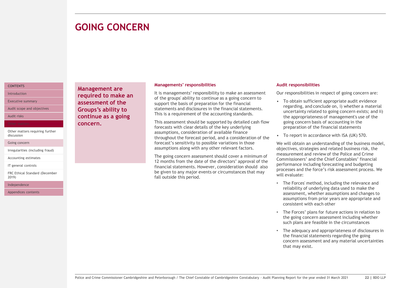### <span id="page-21-0"></span>**GOING CONCERN**

#### **[CONTENTS](#page-1-0)** [Introduction](#page-2-0)

[Executive summary](#page-3-0)

[Audit scope and objectives](#page-7-0)

[Audit risks](#page-11-0)

[Other matters requiring further](#page-20-0)  discussion

[Going concern](#page-21-0)

[Irregularities \(including fraud\)](#page-22-0)

[Accounting estimates](#page-23-0)

[IT general controls](#page-24-0)

[FRC Ethical Standard \(December](#page-25-0)  2019)

[Independence](#page-26-0)

[Appendices contents](#page-27-0)

**Management are required to make an assessment of the Groups's ability to continue as a going concern.**

#### **Managements' responsibilities**

It is managements' responsibility to make an assessment of the groups' ability to continue as a going concern to support the basis of preparation for the financial statements and disclosures in the financial statements. This is a requirement of the accounting standards.

This assessment should be supported by detailed cash flow forecasts with clear details of the key underlying assumptions, consideration of available finance throughout the forecast period, and a consideration of the forecast's sensitivity to possible variations in those assumptions along with any other relevant factors.

The going concern assessment should cover a minimum of 12 months from the date of the directors' approval of the financial statements. However, consideration should also be given to any major events or circumstances that may fall outside this period.

#### **Audit responsibilities**

Our responsibilities in respect of going concern are:

- To obtain sufficient appropriate audit evidence regarding, and conclude on, i) whether a material uncertainty related to going concern exists; and ii) the appropriateness of management's use of the going concern basis of accounting in the preparation of the financial statements
- To report in accordance with ISA (UK) 570.

We will obtain an understanding of the business model, objectives, strategies and related business risk, the measurement and review of the Police and Crime Commissioners' and the Chief Constables' financial performance including forecasting and budgeting processes and the force's risk assessment process. We will evaluate:

- The Forces' method, including the relevance and reliability of underlying data used to make the assessment, whether assumptions and changes to assumptions from prior years are appropriate and consistent with each other
- The Forces' plans for future actions in relation to the going concern assessment including whether such plans are feasible in the circumstances
- The adequacy and appropriateness of disclosures in the financial statements regarding the going concern assessment and any material uncertainties that may exist.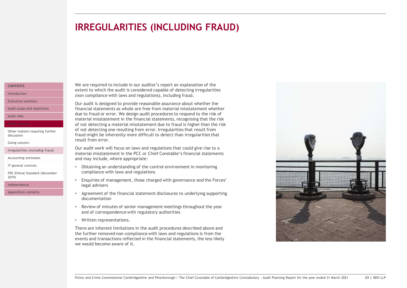### <span id="page-22-0"></span>**IRREGULARITIES (INCLUDING FRAUD)**

#### **[CONTENTS](#page-1-0)** [Introduction](#page-2-0)

[Executive summary](#page-3-0)

[Audit scope and objectives](#page-7-0)

[Audit risks](#page-11-0)

[Other matters requiring further](#page-20-0)  discussion

[Going concern](#page-21-0)

[Irregularities \(including fraud\)](#page-22-0)

[Accounting estimates](#page-23-0)

[IT general controls](#page-24-0)

[FRC Ethical Standard \(December](#page-25-0)  2019)

[Independence](#page-26-0)

[Appendices contents](#page-27-0)

We are required to include in our auditor's report an explanation of the extent to which the audit is considered capable of detecting irregularities (non compliance with laws and regulations), including fraud.

Our audit is designed to provide reasonable assurance about whether the financial statements as whole are free from material misstatement whether due to fraud or error. We design audit procedures to respond to the risk of material misstatement in the financial statements, recognising that the risk of not detecting a material misstatement due to fraud is higher than the risk of not detecting one resulting from error. Irregularities that result from fraud might be inherently more difficult to detect than irregularities that result from error.

Our audit work will focus on laws and regulations that could give rise to a material misstatement in the PCC or Chief Constable's financial statements and may include, where appropriate:

- Obtaining an understanding of the control environment in monitoring compliance with laws and regulations
- Enquiries of management, those charged with governance and the Forces' legal advisers
- Agreement of the financial statement disclosures to underlying supporting documentation
- Review of minutes of senior management meetings throughout the year and of correspondence with regulatory authorities
- Written representations.

There are inherent limitations in the audit procedures described above and the further removed non-compliance with laws and regulations is from the events and transactions reflected in the financial statements, the less likely we would become aware of it.

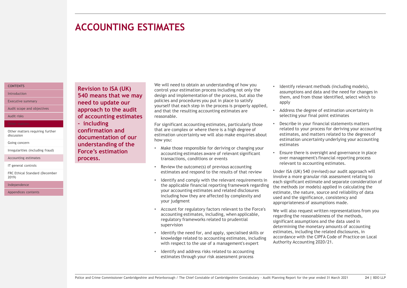### <span id="page-23-0"></span>**ACCOUNTING ESTIMATES**

#### **[CONTENTS](#page-1-0)**

[Introduction](#page-2-0)

[Executive summary](#page-3-0)

[Audit scope and objectives](#page-7-0)

[Audit risks](#page-11-0)

[Other matters requiring further](#page-20-0)  discussion

[Going concern](#page-21-0)

[Irregularities \(including fraud\)](#page-22-0)

[Accounting estimates](#page-23-0)

[IT general controls](#page-24-0)

[FRC Ethical Standard \(December](#page-25-0)  2019)

[Independence](#page-26-0)

[Appendices contents](#page-27-0)

**Revision to ISA (UK) 540 means that we may need to update our approach to the audit of accounting estimates - including confirmation and documentation of our understanding of the Force's estimation process.** 

We will need to obtain an understanding of how you control your estimation process including not only the design and implementation of the process, but also the policies and procedures you put in place to satisfy yourself that each step in the process is properly applied, and that the resulting accounting estimates are reasonable.

For significant accounting estimates, particularly those that are complex or where there is a high degree of estimation uncertainty we will also make enquiries about how you:

- Make those responsible for deriving or changing your accounting estimates aware of relevant significant transactions, conditions or events
- Review the outcome(s) of previous accounting estimates and respond to the results of that review
- Identify and comply with the relevant requirements in the applicable financial reporting framework regarding your accounting estimates and related disclosures including how they are affected by complexity and your judgment
- Account for regulatory factors relevant to the Force's accounting estimates, including, when applicable, regulatory frameworks related to prudential supervision
- Identify the need for, and apply, specialised skills or knowledge related to accounting estimates, including with respect to the use of a management's expert
- Identify and address risks related to accounting estimates through your risk assessment process
- Identify relevant methods (including models), assumptions and data and the need for changes in them, and from those identified, select which to apply
- Address the degree of estimation uncertainty in selecting your final point estimates
- Describe in your financial statements matters related to your process for deriving your accounting estimates, and matters related to the degrees of estimation uncertainty underlying your accounting estimates
- Ensure there is oversight and governance in place over management's financial reporting process relevant to accounting estimates.

Under ISA (UK) 540 (revised) our audit approach will involve a more granular risk assessment relating to each significant estimate and separate consideration of the methods (or models) applied in calculating the estimate, the nature, source and reliability of data used and the significance, consistency and appropriateness of assumptions made.

We will also request written representations from you regarding the reasonableness of the methods, significant assumptions and the data used in determining the monetary amounts of accounting estimates, including the related disclosures, in accordance with the CIPFA Code of Practice on Local Authority Accounting 2020/21.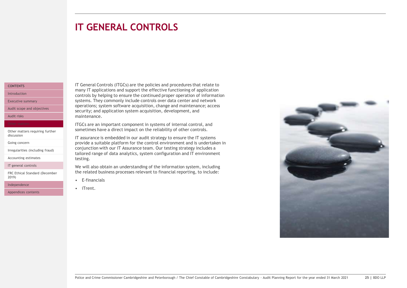### <span id="page-24-0"></span>**IT GENERAL CONTROLS**

#### **[CONTENTS](#page-1-0)**

[Introduction](#page-2-0)

[Executive summary](#page-3-0)

[Audit scope and objectives](#page-7-0)

[Audit risks](#page-11-0)

[Other matters requiring further](#page-20-0)  discussion

[Going concern](#page-21-0)

[Irregularities \(including fraud\)](#page-22-0)

[Accounting estimates](#page-23-0)

[IT general controls](#page-24-0)

[FRC Ethical Standard \(December](#page-25-0)  2019)

[Independence](#page-26-0)

[Appendices contents](#page-27-0)

IT General Controls (ITGCs) are the policies and procedures that relate to many IT applications and support the effective functioning of application controls by helping to ensure the continued proper operation of information systems. They commonly include controls over data center and network operations; system software acquisition, change and maintenance; access security; and application system acquisition, development, and maintenance.

ITGCs are an important component in systems of internal control, and sometimes have a direct impact on the reliability of other controls.

IT assurance is embedded in our audit strategy to ensure the IT systems provide a suitable platform for the control environment and is undertaken in conjunction with our IT Assurance team. Our testing strategy includes a tailored range of data analytics, system configuration and IT environment testing.

We will also obtain an understanding of the information system, including the related business processes relevant to financial reporting, to include:

- E-financials
- iTrent.

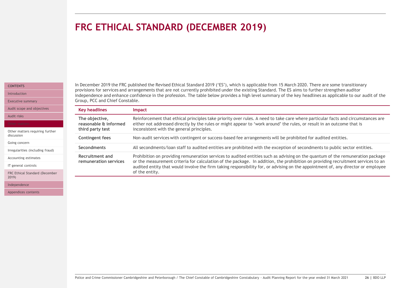#### Police and Crime Commissioner Cambridgeshire and Peterborough / The Chief Constable of Cambridgeshire Constabulary - Audit Planning Report for the year ended 31 March 2021 **26 |** BDO LLP

### <span id="page-25-0"></span>**FRC ETHICAL STANDARD (DECEMBER 2019)**

inconsistent with the general principles.

**Key headlines Impact**

**The objective,** 

**reasonable & informed third party test** 

#### **[CONTENTS](#page-1-0)**

[Introduction](#page-2-0)

[Executive summary](#page-3-0)

[Audit scope and objectives](#page-7-0)

[Audit risks](#page-11-0)

[Other matters requiring further](#page-20-0)  discussion

[Going concern](#page-21-0)

[Irregularities \(including fraud\)](#page-22-0)

[Accounting estimates](#page-23-0) [IT general controls](#page-24-0)

[FRC Ethical Standard \(December](#page-25-0)  2019)

[Independence](#page-26-0)

[Appendices contents](#page-27-0)

In December 2019 the FRC published the Revised Ethical Standard 2019 ('ES'), which is applicable from 15 March 2020. There are some transitionary provisions for services and arrangements that are not currently prohibited under the existing Standard. The ES aims to further strengthen auditor independence and enhance confidence in the profession. The table below provides a high level summary of the key headlines as applicable to our audit of the Group, PCC and Chief Constable.

Reinforcement that ethical principles take priority over rules. A need to take care where particular facts and circumstances are

either not addressed directly by the rules or might appear to 'work around' the rules, or result in an outcome that is

| <b>Contingent fees</b>                   | Non-audit services with contingent or success-based fee arrangements will be prohibited for audited entities.                                                                                                                                                                                                                                                                                                             |  |  |  |
|------------------------------------------|---------------------------------------------------------------------------------------------------------------------------------------------------------------------------------------------------------------------------------------------------------------------------------------------------------------------------------------------------------------------------------------------------------------------------|--|--|--|
| <b>Secondments</b>                       | All secondments/loan staff to audited entities are prohibited with the exception of secondments to public sector entities.                                                                                                                                                                                                                                                                                                |  |  |  |
| Recruitment and<br>remuneration services | Prohibition on providing remuneration services to audited entities such as advising on the quantum of the remuneration package<br>or the measurement criteria for calculation of the package. In addition, the prohibition on providing recruitment services to an<br>audited entity that would involve the firm taking responsibility for, or advising on the appointment of, any director or employee<br>of the entity. |  |  |  |
|                                          |                                                                                                                                                                                                                                                                                                                                                                                                                           |  |  |  |
|                                          |                                                                                                                                                                                                                                                                                                                                                                                                                           |  |  |  |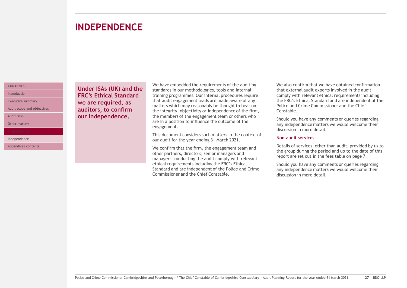### <span id="page-26-0"></span>INDEPENDENCE **INDEPENDENCE**

#### **[CONTENTS](#page-1-0)** [Introduction](#page-2-0)

[Executive summary](#page-3-0)

[Audit scope and objectives](#page-7-0)

[Audit risks](#page-11-0)

[Other matters](#page-20-0)

[Independence](#page-26-0)

[Appendices contents](#page-27-0)

**Under ISAs (UK) and the FRC's Ethical Standard we are required, as auditors, to confirm our independence.** 

We have embedded the requirements of the auditing standards in our methodologies, tools and internal training programmes. Our internal procedures require that audit engagement leads are made aware of any matters which may reasonably be thought to bear on the integrity, objectivity or independence of the firm, the members of the engagement team or others who are in a position to influence the outcome of the engagement.

This document considers such matters in the context of our audit for the year ending 31 March 2021.

We confirm that the firm, the engagement team and other partners, directors, senior managers and managers conducting the audit comply with relevant ethical requirements including the FRC's Ethical Standard and are independent of the Police and Crime Commissioner and the Chief Constable.

We also confirm that we have obtained confirmation that external audit experts involved in the audit comply with relevant ethical requirements including the FRC's Ethical Standard and are independent of the Police and Crime Commissioner and the Chief Constable.

Should you have any comments or queries regarding any independence matters we would welcome their discussion in more detail.

#### **Non-audit services**

Details of services, other than audit, provided by us to the group during the period and up to the date of this report are set out in the fees table on page 7.

Should you have any comments or queries regarding any independence matters we would welcome their discussion in more detail.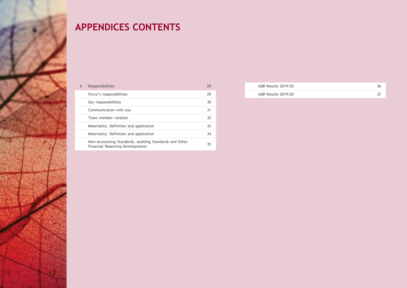## <span id="page-27-0"></span>**APPENDICES CONTENTS**

| A | Responsibilities                                                                           | 29 |
|---|--------------------------------------------------------------------------------------------|----|
|   | Force's responsibilities                                                                   | 29 |
|   | Our responsibilities                                                                       | 30 |
|   | Communication with you                                                                     | 31 |
|   | Team member rotation                                                                       | 32 |
|   | Materiality: Definition and application                                                    | 33 |
|   | Materiality: Definition and application                                                    | 34 |
|   | New Accounting Standards, Auditing Standards and Other<br>Financial Reporting Developments | 35 |
|   |                                                                                            |    |

| AQR Results 2019/20 |  |
|---------------------|--|
| AQR Results 2019/20 |  |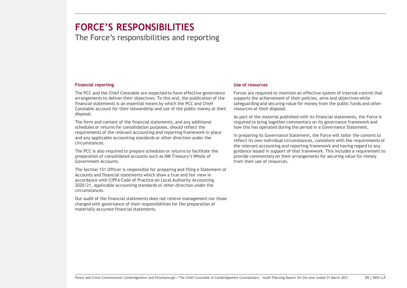### <span id="page-28-0"></span>RESPONSIBILITIES **FORCE'S RESPONSIBILITIES**

The Force's responsibilities and reporting

#### **Financial reporting**

The PCC and the Chief Constable are expected to have effective governance arrangements to deliver their objectives. To this end, the publication of the financial statements is an essential means by which the PCC and Chief Constable account for their stewardship and use of the public money at their disposal.

The form and content of the financial statements, and any additional schedules or returns for consolidation purposes, should reflect the requirements of the relevant accounting and reporting framework in place and any applicable accounting standards or other direction under the circumstances.

The PCC is also required to prepare schedules or returns to facilitate the preparation of consolidated accounts such as HM Treasury's Whole of Government Accounts.

The Section 151 Officer is responsible for preparing and filing a Statement of Accounts and financial statements which show a true and fair view in accordance with CIPFA Code of Practice on Local Authority Accounting 2020/21, applicable accounting standards or other direction under the circumstances.

Our audit of the financial statements does not relieve management nor those charged with governance of their responsibilities for the preparation of materially accurate financial statements.

#### **Use of resources**

Forces are required to maintain an effective system of internal control that supports the achievement of their policies, aims and objectives while safeguarding and securing value for money from the public funds and other resources at their disposal.

As part of the material published with its financial statements, the Force is required to bring together commentary on its governance framework and how this has operated during the period in a Governance Statement.

In preparing its Governance Statement, the Force will tailor the content to reflect its own individual circumstances, consistent with the requirements of the relevant accounting and reporting framework and having regard to any guidance issued in support of that framework. This includes a requirement to provide commentary on their arrangements for securing value for money from their use of resources.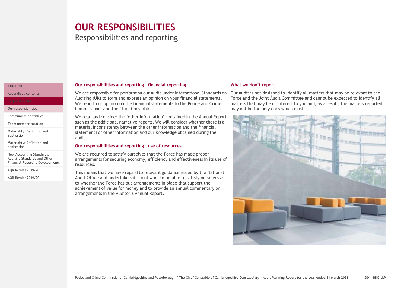## <span id="page-29-0"></span>**OUR RESPONSIBILITIES**

### Responsibilities and reporting

#### **[CONTENTS](#page-1-0)**

[Appendices contents](#page-27-0)

[Our responsibilities](#page-29-0)

[Communication with you](#page-30-0)

[Team member rotation](#page-31-0)

[Materiality: Definition and](#page-32-0) application

[Materiality: Definition and](#page-33-0) application

New Accounting Standards, Auditing Standards and Other [Financial Reporting Developments](#page-34-0) 

[AQR Results 2019/20](#page-35-0)

[AQR Results 2019/20](#page-36-0)

#### **Our responsibilities and reporting – financial reporting**

We are responsible for performing our audit under International Standards on Auditing (UK) to form and express an opinion on your financial statements. We report our opinion on the financial statements to the Police and Crime Commissioner and the Chief Constable.

We read and consider the 'other information' contained in the Annual Report such as the additional narrative reports. We will consider whether there is a material inconsistency between the other information and the financial statements or other information and our knowledge obtained during the audit.

#### **Our responsibilities and reporting – use of resources**

We are required to satisfy ourselves that the Force has made proper arrangements for securing economy, efficiency and effectiveness in its use of resources.

This means that we have regard to relevant guidance issued by the National Audit Office and undertake sufficient work to be able to satisfy ourselves as to whether the Force has put arrangements in place that support the achievement of value for money and to provide an annual commentary on arrangements in the Auditor's Annual Report.

#### **What we don't report**

Our audit is not designed to identify all matters that may be relevant to the Force and the Joint Audit Committee and cannot be expected to identify all matters that may be of interest to you and, as a result, the matters reported may not be the only ones which exist.

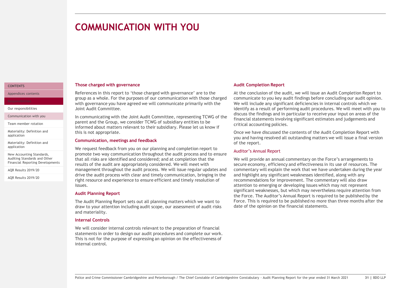### <span id="page-30-0"></span>**COMMUNICATION WITH YOU**

#### **Those charged with governance**

References in this report to 'those charged with governance' are to the group as a whole. For the purposes of our communication with those charged with governance you have agreed we will communicate primarily with the Joint Audit Committee.

In communicating with the Joint Audit Committee, representing TCWG of the parent and the Group, we consider TCWG of subsidiary entities to be informed about matters relevant to their subsidiary. Please let us know if this is not appropriate.

#### **Communication, meetings and feedback**

We request feedback from you on our planning and completion report to promote two way communication throughout the audit process and to ensure that all risks are identified and considered; and at completion that the results of the audit are appropriately considered. We will meet with management throughout the audit process. We will issue regular updates and drive the audit process with clear and timely communication, bringing in the right resource and experience to ensure efficient and timely resolution of issues.

#### **Audit Planning Report**

The Audit Planning Report sets out all planning matters which we want to draw to your attention including audit scope, our assessment of audit risks and materiality.

#### **Internal Controls**

We will consider internal controls relevant to the preparation of financial statements in order to design our audit procedures and complete our work. This is not for the purpose of expressing an opinion on the effectiveness of internal control.

#### **Audit Completion Report**

At the conclusion of the audit, we will issue an Audit Completion Report to communicate to you key audit findings before concluding our audit opinion. We will include any significant deficiencies in internal controls which we identify as a result of performing audit procedures. We will meet with you to discuss the findings and in particular to receive your input on areas of the financial statements involving significant estimates and judgements and critical accounting policies.

Once we have discussed the contents of the Audit Completion Report with you and having resolved all outstanding matters we will issue a final version of the report.

#### Auditor's Annual Report

We will provide an annual commentary on the Force's arrangements to secure economy, efficiency and effectiveness in its use of resources. The commentary will explain the work that we have undertaken during the year and highlight any significant weaknesses identified, along with any recommendations for improvement. The commentary will also draw attention to emerging or developing issues which may not represent significant weaknesses, but which may nevertheless require attention from the Force. The Auditor's Annual Report is required to be published by the Force. This is required to be published no more than three months after the date of the opinion on the financial statements.

#### **[CONTENTS](#page-1-0)** [Appendices contents](#page-27-0)

[Our responsibilities](#page-29-0)

[Communication with you](#page-30-0)

[Team member rotation](#page-31-0)

[Materiality: Definition and](#page-32-0) application

[Materiality: Definition and](#page-33-0) application

New Accounting Standards, Auditing Standards and Other [Financial Reporting Developments](#page-34-0) 

[AQR Results 2019/20](#page-35-0)

[AQR Results 2019/20](#page-36-0)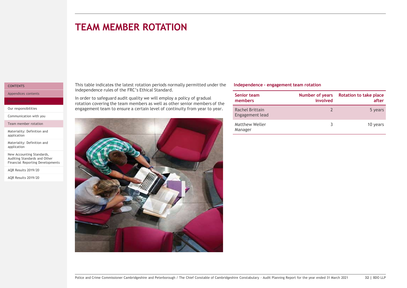<span id="page-31-0"></span>**TEAM MEMBER ROTATION**

#### **[CONTENTS](#page-1-0)**

[Appendices contents](#page-27-0)

[Our responsibilities](#page-29-0)

[Communication with you](#page-30-0)

[Team member rotation](#page-31-0)

[Materiality: Definition and](#page-32-0) application

[Materiality: Definition and](#page-33-0) application

New Accounting Standards, Auditing Standards and Other [Financial Reporting Developments](#page-34-0) 

[AQR Results 2019/20](#page-35-0)

[AQR Results 2019/20](#page-36-0)

This table indicates the latest rotation periods normally permitted under the independence rules of the FRC's Ethical Standard.

In order to safeguard audit quality we will employ a policy of gradual rotation covering the team members as well as other senior members of the engagement team to ensure a certain level of continuity from year to year.



#### **Independence - engagement team rotation**

| Senior team<br>members             | Number of years<br>involved | <b>Rotation to take place</b><br>after |
|------------------------------------|-----------------------------|----------------------------------------|
| Rachel Brittain<br>Engagement lead |                             | 5 years                                |
| Matthew Weller<br>Manager          |                             | 10 years                               |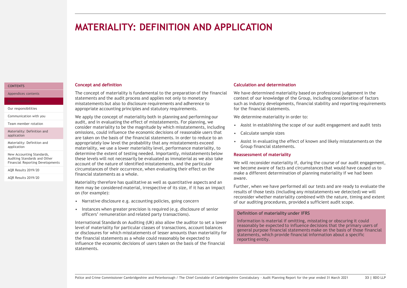### <span id="page-32-0"></span>**MATERIALITY: DEFINITION AND APPLICATION**

#### **Concept and definition**

The concept of materiality is fundamental to the preparation of the financial statements and the audit process and applies not only to monetary misstatements but also to disclosure requirements and adherence to appropriate accounting principles and statutory requirements.

We apply the concept of materiality both in planning and performing our audit, and in evaluating the effect of misstatements. For planning, we consider materiality to be the magnitude by which misstatements, including omissions, could influence the economic decisions of reasonable users that are taken on the basis of the financial statements. In order to reduce to an appropriately low level the probability that any misstatements exceed materiality, we use a lower materiality level, performance materiality, to determine the extent of testing needed. Importantly, misstatements below these levels will not necessarily be evaluated as immaterial as we also take account of the nature of identified misstatements, and the particular circumstances of their occurrence, when evaluating their effect on the financial statements as a whole.

Materiality therefore has qualitative as well as quantitative aspects and an item may be considered material, irrespective of its size, if it has an impact on (for example):

- Narrative disclosure e.g. accounting policies, going concern
- Instances when greater precision is required (e.g. disclosure of senior officers' remuneration and related party transactions).

International Standards on Auditing (UK) also allow the auditor to set a lower level of materiality for particular classes of transactions, account balances or disclosures for which misstatements of lesser amounts than materiality for the financial statements as a whole could reasonably be expected to influence the economic decisions of users taken on the basis of the financial statements.

#### **Calculation and determination**

We have determined materiality based on professional judgement in the context of our knowledge of the Group, including consideration of factors such as industry developments, financial stability and reporting requirements for the financial statements.

We determine materiality in order to:

- Assist in establishing the scope of our audit engagement and audit tests
- Calculate sample sizes
- Assist in evaluating the effect of known and likely misstatements on the Group financial statements.

#### **Reassessment of materiality**

We will reconsider materiality if, during the course of our audit engagement, we become aware of facts and circumstances that would have caused us to make a different determination of planning materiality if we had been aware.

Further, when we have performed all our tests and are ready to evaluate the results of those tests (including any misstatements we detected) we will reconsider whether materiality combined with the nature, timing and extent of our auditing procedures, provided a sufficient audit scope.

#### **Definition of materiality under IFRS**

Information is material if omitting, misstating or obscuring it could reasonably be expected to influence decisions that the primary users of general purpose financial statements make on the basis of those financial statements, which provide financial information about a specific reporting entity.

**[CONTENTS](#page-1-0)**

[Appendices contents](#page-27-0)

[Our responsibilities](#page-29-0)

[Communication with you](#page-30-0)

[Team member rotation](#page-31-0)

[Materiality: Definition and](#page-32-0) application

[Materiality: Definition and](#page-33-0) application

New Accounting Standards, Auditing Standards and Other [Financial Reporting Developments](#page-34-0) 

[AQR Results 2019/20](#page-35-0)

[AQR Results 2019/20](#page-36-0)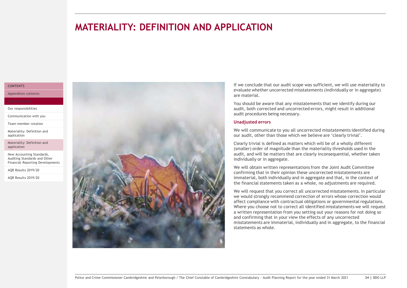### <span id="page-33-0"></span>**MATERIALITY: DEFINITION AND APPLICATION**

#### **[CONTENTS](#page-1-0)**

[Our responsibilities](#page-29-0)

[Appendices contents](#page-27-0)

[Communication with you](#page-30-0)

[Team member rotation](#page-31-0)

[Materiality: Definition and](#page-32-0) application

[Materiality: Definition and](#page-33-0) application

New Accounting Standards, Auditing Standards and Other [Financial Reporting Developments](#page-34-0) 

[AQR Results 2019/20](#page-35-0)

[AQR Results 2019/20](#page-36-0)

audit procedures being necessary. **Unadjusted errors** individually or in aggregate.

If we conclude that our audit scope was sufficient, we will use materiality to evaluate whether uncorrected misstatements (individually or in aggregate) are material.

You should be aware that any misstatements that we identify during our audit, both corrected and uncorrected errors, might result in additional

We will communicate to you all uncorrected misstatements identified during our audit, other than those which we believe are 'clearly trivial'.

Clearly trivial is defined as matters which will be of a wholly different (smaller) order of magnitude than the materiality thresholds used in the audit, and will be matters that are clearly inconsequential, whether taken

We will obtain written representations from the Joint Audit Committee confirming that in their opinion these uncorrected misstatements are immaterial, both individually and in aggregate and that, in the context of the financial statements taken as a whole, no adjustments are required.

We will request that you correct all uncorrected misstatements. In particular we would strongly recommend correction of errors whose correction would affect compliance with contractual obligations or governmental regulations. Where you choose not to correct all identified misstatements we will request a written representation from you setting out your reasons for not doing so and confirming that in your view the effects of any uncorrected misstatements are immaterial, individually and in aggregate, to the financial statements as whole.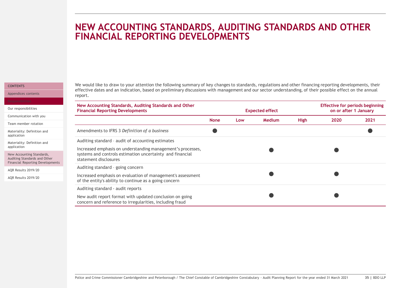### <span id="page-34-0"></span>**NEW ACCOUNTING STANDARDS, AUDITING STANDARDS AND OTHER FINANCIAL REPORTING DEVELOPMENTS**

#### **[CONTENTS](#page-1-0)**

[Appendices contents](#page-27-0)

We would like to draw to your attention the following summary of key changes to standards, regulations and other financing reporting developments, their effective dates and an indication, based on preliminary discussions with management and our sector understanding, of their possible effect on the annual report.

| Our responsibilities                                                                                 | New Accounting Standards, Auditing Standards and Other<br><b>Financial Reporting Developments</b>                     |             | <b>Expected effect</b> |               |             |      | <b>Effective for periods beginning</b><br>on or after 1 January |  |
|------------------------------------------------------------------------------------------------------|-----------------------------------------------------------------------------------------------------------------------|-------------|------------------------|---------------|-------------|------|-----------------------------------------------------------------|--|
| Communication with you                                                                               |                                                                                                                       | <b>None</b> | Low                    | <b>Medium</b> | <b>High</b> | 2020 | 2021                                                            |  |
| Team member rotation                                                                                 |                                                                                                                       |             |                        |               |             |      |                                                                 |  |
| Materiality: Definition and<br>application                                                           | Amendments to IFRS 3 Definition of a business                                                                         |             |                        |               |             |      |                                                                 |  |
| Materiality: Definition and                                                                          | Auditing standard - audit of accounting estimates                                                                     |             |                        |               |             |      |                                                                 |  |
| application                                                                                          | Increased emphasis on understanding management's processes,                                                           |             |                        |               |             |      |                                                                 |  |
| New Accounting Standards,<br>Auditing Standards and Other<br><b>Financial Reporting Developments</b> | systems and controls estimation uncertainty and financial<br>statement disclosures                                    |             |                        |               |             |      |                                                                 |  |
|                                                                                                      | Auditing standard - going concern                                                                                     |             |                        |               |             |      |                                                                 |  |
| AQR Results 2019/20                                                                                  |                                                                                                                       |             |                        |               |             |      |                                                                 |  |
| AQR Results 2019/20                                                                                  | Increased emphasis on evaluation of management's assessment<br>of the entity's ability to continue as a going concern |             |                        |               |             |      |                                                                 |  |
|                                                                                                      | Auditing standard - audit reports                                                                                     |             |                        |               |             |      |                                                                 |  |
|                                                                                                      | New audit report format with updated conclusion on going<br>concern and reference to irregularities, including fraud  |             |                        |               |             |      |                                                                 |  |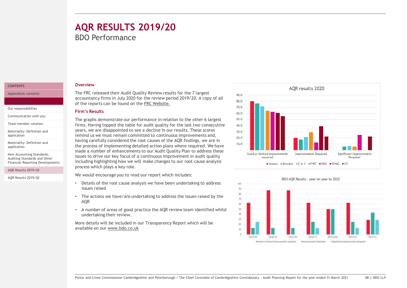### <span id="page-35-0"></span>**AQR RESULTS 2019/20** BDO Performance

#### **[CONTENTS](#page-1-0)**

[Appendices contents](#page-27-0)

[Our responsibilities](#page-29-0)

[Communication with you](#page-30-0)

[Team member rotation](#page-31-0)

[Materiality: Definition and](#page-32-0) application

[Materiality: Definition and](#page-33-0) application

New Accounting Standards, Auditing Standards and Other [Financial Reporting Developments](#page-34-0) 

#### [AQR Results 2019/20](#page-35-0)

[AQR Results 2019/20](#page-36-0)

#### **Overview**

The FRC released their Audit Quality Review results for the 7 largest accountancy firms in July 2020 for the review period 2019/20. A copy of all of the reports can be found on the [FRC Website.](https://www.frc.org.uk/auditors/audit-quality-review/audit-firm-specific-reports)

#### **Firm's Results**

The graphs demonstrate our performance in relation to the other 6 largest firms. Having topped the table for audit quality for the last two consecutive years, we are disappointed to see a decline in our results. These scores remind us we must remain committed to continuous improvements and, having carefully considered the root causes of the AQR findings, we are in the process of implementing detailed action plans where required. We have made a number of enhancements to our Audit Quality Plan to address these issues to drive our key focus of a continuous improvement in audit quality including highlighting how we will make changes to our root cause analysis process which plays a key role.

We would encourage you to read our report which includes:

- Details of the root cause analysis we have been undertaking to address issues raised
- The actions we have/are undertaking to address the issues raised by the AQR
- A number of areas of good practice the AQR review team identified whilst undertaking their review.

More details will be included in our Transparency Report which will be available on our [www.bdo.co,uk](https://www.bdo.co.uk/en-gb/about/transparency-report) 





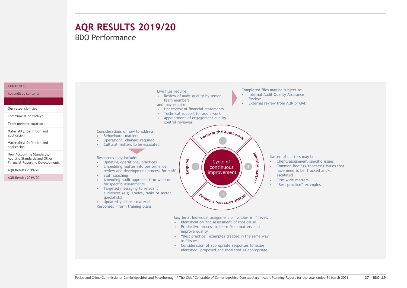### <span id="page-36-0"></span>**AQR RESULTS 2019/20** BDO Performance

#### **[CONTENTS](#page-1-0)**

[Appendices contents](#page-27-0)

[Our responsibilities](#page-29-0)

[Communication with you](#page-30-0)

[Team member rotation](#page-31-0)

[Materiality: Definition and](#page-32-0) application

[Materiality: Definition and](#page-33-0) application

New Accounting Standards, Auditing Standards and Other [Financial Reporting Developments](#page-34-0) 

[AQR Results 2019/20](#page-35-0)

[AQR Results 2019/20](#page-36-0)